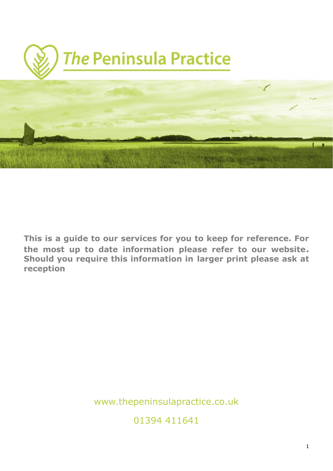

**This is a guide to our services for you to keep for reference. For the most up to date information please refer to our website. Should you require this information in larger print please ask at reception**

www.thepeninsulapractice.co.uk

01394 411641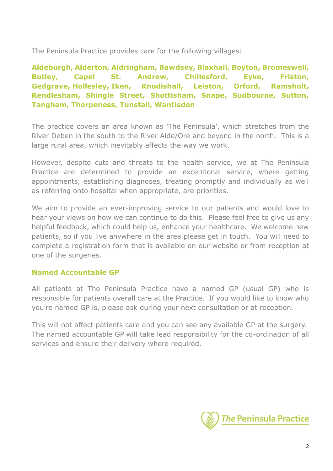The Peninsula Practice provides care for the following villages:

**Aldeburgh, Alderton, Aldringham, Bawdsey, Blaxhall, Boyton, Bromeswell, Butley, Capel St. Andrew, Chillesford, Eyke, Friston, Gedgrave, Hollesley, Iken, Knodishall, Leiston, Orford, Ramsholt, Rendlesham, Shingle Street, Shottisham, Snape, Sudbourne, Sutton, Tangham, Thorpeness, Tunstall, Wantisden**

The practice covers an area known as 'The Peninsula', which stretches from the River Deben in the south to the River Alde/Ore and beyond in the north. This is a large rural area, which inevitably affects the way we work.

However, despite cuts and threats to the health service, we at The Peninsula Practice are determined to provide an exceptional service, where getting appointments, establishing diagnoses, treating promptly and individually as well as referring onto hospital when appropriate, are priorities.

We aim to provide an ever-improving service to our patients and would love to hear your views on how we can continue to do this. Please feel free to give us any helpful feedback, which could help us, enhance your healthcare. We welcome new patients, so if you live anywhere in the area please get in touch. You will need to complete a registration form that is available on our website or from reception at one of the surgeries.

## **Named Accountable GP**

All patients at The Peninsula Practice have a named GP (usual GP) who is responsible for patients overall care at the Practice. If you would like to know who you're named GP is, please ask during your next consultation or at reception.

This will not affect patients care and you can see any available GP at the surgery. The named accountable GP will take lead responsibility for the co-ordination of all services and ensure their delivery where required.

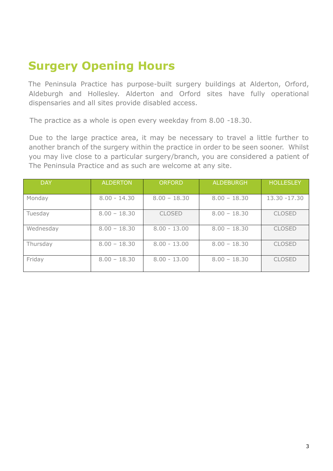# **Surgery Opening Hours**

The Peninsula Practice has purpose-built surgery buildings at Alderton, Orford, Aldeburgh and Hollesley. Alderton and Orford sites have fully operational dispensaries and all sites provide disabled access.

The practice as a whole is open every weekday from 8.00 -18.30.

Due to the large practice area, it may be necessary to travel a little further to another branch of the surgery within the practice in order to be seen sooner. Whilst you may live close to a particular surgery/branch, you are considered a patient of The Peninsula Practice and as such are welcome at any site.

| <b>DAY</b> | <b>ALDERTON</b> | <b>ORFORD</b>  | <b>ALDEBURGH</b> | <b>HOLLESLEY</b> |
|------------|-----------------|----------------|------------------|------------------|
| Monday     | $8.00 - 14.30$  | $8.00 - 18.30$ | $8.00 - 18.30$   | $13.30 - 17.30$  |
| Tuesday    | $8.00 - 18.30$  | <b>CLOSED</b>  | $8.00 - 18.30$   | <b>CLOSED</b>    |
| Wednesday  | $8.00 - 18.30$  | $8.00 - 13.00$ | $8.00 - 18.30$   | <b>CLOSED</b>    |
| Thursday   | $8.00 - 18.30$  | $8.00 - 13.00$ | $8.00 - 18.30$   | <b>CLOSED</b>    |
| Friday     | $8.00 - 18.30$  | $8.00 - 13.00$ | $8.00 - 18.30$   | <b>CLOSED</b>    |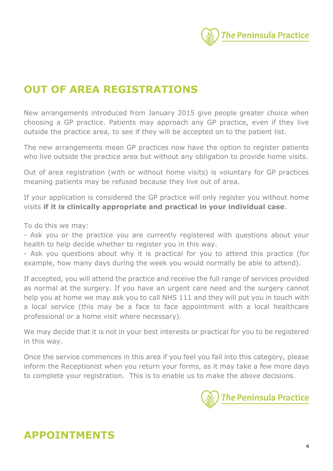

# **OUT OF AREA REGISTRATIONS**

New arrangements introduced from January 2015 give people greater choice when choosing a GP practice. Patients may approach any GP practice, even if they live outside the practice area, to see if they will be accepted on to the patient list.

The new arrangements mean GP practices now have the option to register patients who live outside the practice area but without any obligation to provide home visits.

Out of area registration (with or without home visits) is voluntary for GP practices meaning patients may be refused because they live out of area.

If your application is considered the GP practice will only register you without home visits **if it is clinically appropriate and practical in your individual case**.

To do this we may:

- Ask you or the practice you are currently registered with questions about your health to help decide whether to register you in this way.

- Ask you questions about why it is practical for you to attend this practice (for example, how many days during the week you would normally be able to attend).

If accepted, you will attend the practice and receive the full range of services provided as normal at the surgery. If you have an urgent care need and the surgery cannot help you at home we may ask you to call NHS 111 and they will put you in touch with a local service (this may be a face to face appointment with a local healthcare professional or a home visit where necessary).

We may decide that it is not in your best interests or practical for you to be registered in this way.

Once the service commences in this area if you feel you fall into this category, please inform the Receptionist when you return your forms, as it may take a few more days to complete your registration. This is to enable us to make the above decisions.



# **APPOINTMENTS**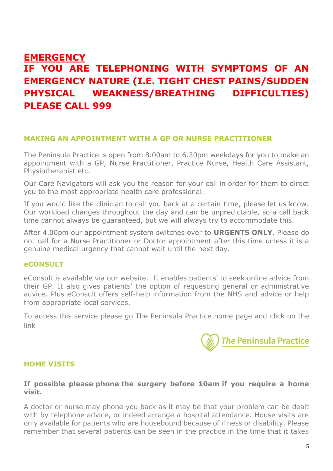# **EMERGENCY IF YOU ARE TELEPHONING WITH SYMPTOMS OF AN EMERGENCY NATURE (I.E. TIGHT CHEST PAINS/SUDDEN PHYSICAL WEAKNESS/BREATHING DIFFICULTIES) PLEASE CALL 999**

### **MAKING AN APPOINTMENT WITH A GP OR NURSE PRACTITIONER**

The Peninsula Practice is open from 8.00am to 6.30pm weekdays for you to make an appointment with a GP, Nurse Practitioner, Practice Nurse, Health Care Assistant, Physiotherapist etc.

Our Care Navigators will ask you the reason for your call in order for them to direct you to the most appropriate health care professional.

If you would like the clinician to call you back at a certain time, please let us know. Our workload changes throughout the day and can be unpredictable, so a call back time cannot always be guaranteed, but we will always try to accommodate this.

After 4.00pm our appointment system switches over to **URGENTS ONLY.** Please do not call for a Nurse Practitioner or Doctor appointment after this time unless it is a genuine medical urgency that cannot wait until the next day.

### **eCONSULT**

eConsult is available via our website. It enables patients' to seek online advice from their GP. It also gives patients' the option of requesting general or administrative advice. Plus eConsult offers self-help information from the NHS and advice or help from appropriate local services.

To access this service please go The Peninsula Practice home page and click on the link



### **HOME VISITS**

### **If possible please phone the surgery before 10am if you require a home visit.**

A doctor or nurse may phone you back as it may be that your problem can be dealt with by telephone advice, or indeed arrange a hospital attendance. House visits are only available for patients who are housebound because of illness or disability. Please remember that several patients can be seen in the practice in the time that it takes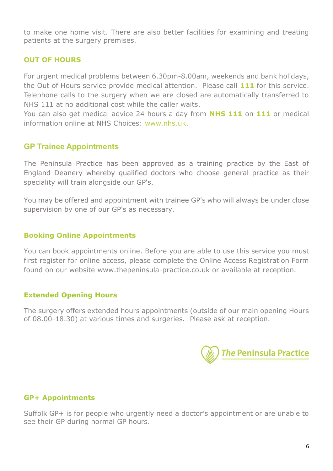to make one home visit. There are also better facilities for examining and treating patients at the surgery premises.

## **OUT OF HOURS**

For urgent medical problems between 6.30pm-8.00am, weekends and bank holidays, the Out of Hours service provide medical attention. Please call **111** for this service. Telephone calls to the surgery when we are closed are automatically transferred to NHS 111 at no additional cost while the caller waits.

You can also get medical advice 24 hours a day from **NHS 111** on **111** or medical information online at NHS Choices: www.nhs.uk.

## **GP Trainee Appointments**

The Peninsula Practice has been approved as a training practice by the East of England Deanery whereby qualified doctors who choose general practice as their speciality will train alongside our GP's.

You may be offered and appointment with trainee GP's who will always be under close supervision by one of our GP's as necessary.

## **Booking Online Appointments**

You can book appointments online. Before you are able to use this service you must first register for online access, please complete the Online Access Registration Form found on our website [www.thepeninsula-practice.co.uk](http://www.thepeninsula-practice.co.uk/) or available at reception.

## **Extended Opening Hours**

The surgery offers extended hours appointments (outside of our main opening Hours of 08.00-18.30) at various times and surgeries. Please ask at reception.



## **GP+ Appointments**

Suffolk GP+ is for people who urgently need a doctor's appointment or are unable to see their GP during normal GP hours.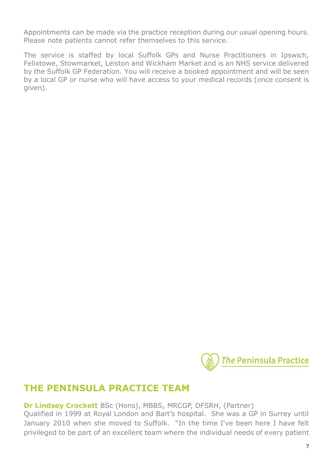Appointments can be made via the practice reception during our usual opening hours. Please note patients cannot refer themselves to this service.

The service is staffed by local Suffolk GPs and Nurse Practitioners in Ipswich, Felixtowe, Stowmarket, Leiston and Wickham Market and is an NHS service delivered by the Suffolk GP Federation. You will receive a booked appointment and will be seen by a local GP or nurse who will have access to your medical records (once consent is given).



# **THE PENINSULA PRACTICE TEAM**

**Dr Lindsey Crockett** BSc (Hons), MBBS, MRCGP, DFSRH, (Partner)

Qualified in 1999 at Royal London and Bart's hospital. She was a GP in Surrey until January 2010 when she moved to Suffolk. "In the time I've been here I have felt privileged to be part of an excellent team where the individual needs of every patient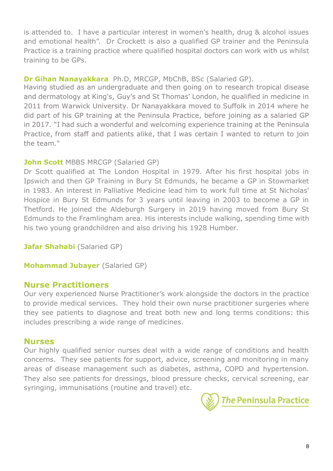is attended to. I have a particular interest in women's health, drug & alcohol issues and emotional health". Dr Crockett is also a qualified GP trainer and the Peninsula Practice is a training practice where qualified hospital doctors can work with us whilst training to be GPs.

## **Dr Gihan Nanayakkara** Ph.D, MRCGP, MbChB, BSc (Salaried GP).

Having studied as an undergraduate and then going on to research tropical disease and dermatology at King's, Guy's and St Thomas' London, he qualified in medicine in 2011 from Warwick University. Dr Nanayakkara moved to Suffolk in 2014 where he did part of his GP training at the Peninsula Practice, before joining as a salaried GP in 2017. "I had such a wonderful and welcoming experience training at the Peninsula Practice, from staff and patients alike, that I was certain I wanted to return to join the team."

# **John Scott** MBBS MRCGP (Salaried GP)

Dr Scott qualified at The London Hospital in 1979. After his first hospital jobs in Ipswich and then GP Training in Bury St Edmunds, he became a GP in Stowmarket in 1983. An interest in Palliative Medicine lead him to work full time at St Nicholas' Hospice in Bury St Edmunds for 3 years until leaving in 2003 to become a GP in Thetford. He joined the Aldeburgh Surgery in 2019 having moved from Bury St Edmunds to the Framlingham area. His interests include walking, spending time with his two young grandchildren and also driving his 1928 Humber.

**Jafar Shahabi** (Salaried GP)

**Mohammad Jubayer** (Salaried GP)

# **Nurse Practitioners**

Our very experienced Nurse Practitioner's work alongside the doctors in the practice to provide medical services. They hold their own nurse practitioner surgeries where they see patients to diagnose and treat both new and long terms conditions: this includes prescribing a wide range of medicines.

# **Nurses**

Our highly qualified senior nurses deal with a wide range of conditions and health concerns. They see patients for support, advice, screening and monitoring in many areas of disease management such as diabetes, asthma, COPD and hypertension. They also see patients for dressings, blood pressure checks, cervical screening, ear syringing, immunisations (routine and travel) etc.

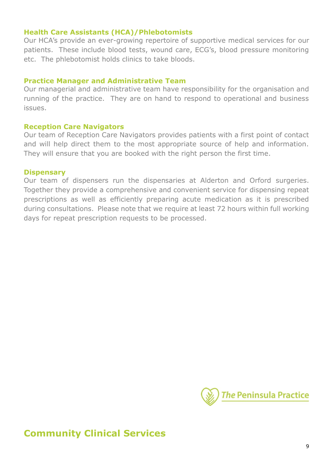### **Health Care Assistants (HCA)/Phlebotomists**

Our HCA's provide an ever-growing repertoire of supportive medical services for our patients. These include blood tests, wound care, ECG's, blood pressure monitoring etc. The phlebotomist holds clinics to take bloods.

#### **Practice Manager and Administrative Team**

Our managerial and administrative team have responsibility for the organisation and running of the practice. They are on hand to respond to operational and business issues.

### **Reception Care Navigators**

Our team of Reception Care Navigators provides patients with a first point of contact and will help direct them to the most appropriate source of help and information. They will ensure that you are booked with the right person the first time.

#### **Dispensary**

Our team of dispensers run the dispensaries at Alderton and Orford surgeries. Together they provide a comprehensive and convenient service for dispensing repeat prescriptions as well as efficiently preparing acute medication as it is prescribed during consultations. Please note that we require at least 72 hours within full working days for repeat prescription requests to be processed.



# **Community Clinical Services**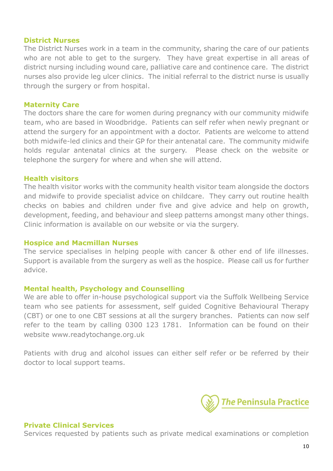#### **District Nurses**

The District Nurses work in a team in the community, sharing the care of our patients who are not able to get to the surgery. They have great expertise in all areas of district nursing including wound care, palliative care and continence care. The district nurses also provide leg ulcer clinics. The initial referral to the district nurse is usually through the surgery or from hospital.

### **Maternity Care**

The doctors share the care for women during pregnancy with our community midwife team, who are based in Woodbridge. Patients can self refer when newly pregnant or attend the surgery for an appointment with a doctor. Patients are welcome to attend both midwife-led clinics and their GP for their antenatal care. The community midwife holds regular antenatal clinics at the surgery. Please check on the website or telephone the surgery for where and when she will attend.

### **Health visitors**

The health visitor works with the community health visitor team alongside the doctors and midwife to provide specialist advice on childcare. They carry out routine health checks on babies and children under five and give advice and help on growth, development, feeding, and behaviour and sleep patterns amongst many other things. Clinic information is available on our website or via the surgery.

### **Hospice and Macmillan Nurses**

The service specialises in helping people with cancer & other end of life illnesses. Support is available from the surgery as well as the hospice. Please call us for further advice.

### **Mental health, Psychology and Counselling**

We are able to offer in-house psychological support via the Suffolk Wellbeing Service team who see patients for assessment, self guided Cognitive Behavioural Therapy (CBT) or one to one CBT sessions at all the surgery branches. Patients can now self refer to the team by calling 0300 123 1781. Information can be found on their website [www.readytochange.org.uk](http://www.readytochange.org.uk/)

Patients with drug and alcohol issues can either self refer or be referred by their doctor to local support teams.



#### **Private Clinical Services**

Services requested by patients such as private medical examinations or completion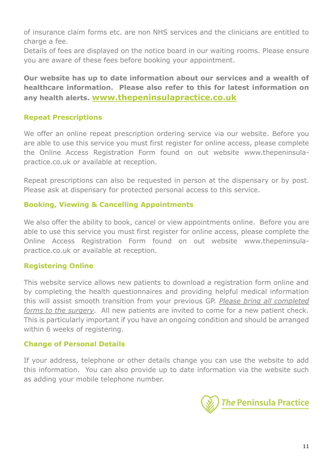of insurance claim forms etc. are non NHS services and the clinicians are entitled to charge a fee.

Details of fees are displayed on the notice board in our waiting rooms. Please ensure you are aware of these fees before booking your appointment.

**Our website has up to date information about our services and a wealth of healthcare information. Please also refer to this for latest information on any health alerts. [www.thepeninsulapractice.co.uk](http://www.thepeninsulapractice.co.uk/)**

## **Repeat Prescriptions**

We offer an online repeat prescription ordering service via our website. Before you are able to use this service you must first register for online access, please complete the Online Access Registration Form found on out website [www.thepeninsula](http://www.thepeninsula-practice.co.uk/)[practice.co.uk](http://www.thepeninsula-practice.co.uk/) or available at reception.

Repeat prescriptions can also be requested in person at the dispensary or by post. Please ask at dispensary for protected personal access to this service.

## **Booking, Viewing & Cancelling Appointments**

We also offer the ability to book, cancel or view appointments online. Before you are able to use this service you must first register for online access, please complete the Online Access Registration Form found on out website [www.thepeninsula](http://www.thepeninsula-practice.co.uk/)[practice.co.uk](http://www.thepeninsula-practice.co.uk/) or available at reception.

# **Registering Online**

This website service allows new patients to download a registration form online and by completing the health questionnaires and providing helpful medical information this will assist smooth transition from your previous GP. *Please bring all completed forms to the surgery*. All new patients are invited to come for a new patient check. This is particularly important if you have an ongoing condition and should be arranged within 6 weeks of registering.

# **Change of Personal Details**

If your address, telephone or other details change you can use the website to add this information. You can also provide up to date information via the website such as adding your mobile telephone number.

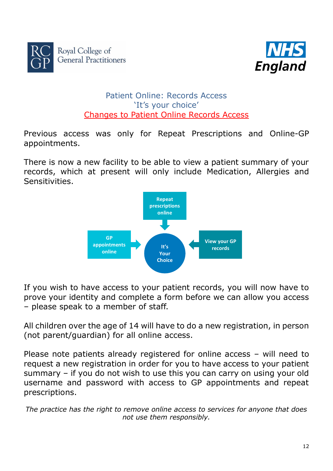



# Patient Online: Records Access 'It's your choice' Changes to Patient Online Records Access

Previous access was only for Repeat Prescriptions and Online-GP appointments.

There is now a new facility to be able to view a patient summary of your records, which at present will only include Medication, Allergies and Sensitivities.



If you wish to have access to your patient records, you will now have to prove your identity and complete a form before we can allow you access – please speak to a member of staff.

All children over the age of 14 will have to do a new registration, in person (not parent/guardian) for all online access.

Please note patients already registered for online access – will need to request a new registration in order for you to have access to your patient summary – if you do not wish to use this you can carry on using your old username and password with access to GP appointments and repeat prescriptions.

*The practice has the right to remove online access to services for anyone that does not use them responsibly.*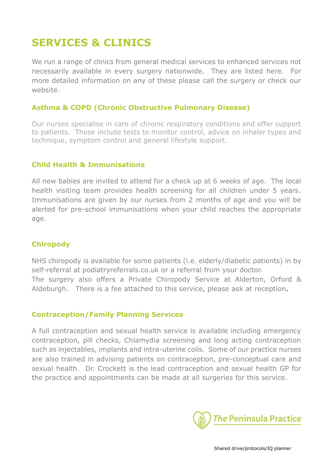# **SERVICES & CLINICS**

We run a range of clinics from general medical services to enhanced services not necessarily available in every surgery nationwide. They are listed here. For more detailed information on any of these please call the surgery or check our website.

### **Asthma & COPD (Chronic Obstructive Pulmonary Disease)**

Our nurses specialise in care of chronic respiratory conditions and offer support to patients. These include tests to monitor control, advice on inhaler types and technique, symptom control and general lifestyle support.

### **Child Health & Immunisations**

All new babies are invited to attend for a check up at 6 weeks of age. The local health visiting team provides health screening for all children under 5 years. Immunisations are given by our nurses from 2 months of age and you will be alerted for pre-school immunisations when your child reaches the appropriate age.

## **Chiropody**

NHS chiropody is available for some patients (i.e. elderly/diabetic patients) in by self-referral at podiatryreferrals.co.uk or a referral from your doctor. The surgery also offers a Private Chiropody Service at Alderton, Orford & Aldeburgh. There is a fee attached to this service, please ask at reception.

### **Contraception/Family Planning Services**

A full contraception and sexual health service is available including emergency contraception, pill checks, Chlamydia screening and long acting contraception such as injectables, implants and intra-uterine coils. Some of our practice nurses are also trained in advising patients on contraception, pre-conceptual care and sexual health. Dr. Crockett is the lead contraception and sexual health GP for the practice and appointments can be made at all surgeries for this service.

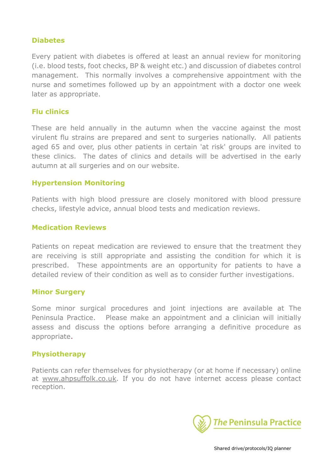### **Diabetes**

Every patient with diabetes is offered at least an annual review for monitoring (i.e. blood tests, foot checks, BP & weight etc.) and discussion of diabetes control management. This normally involves a comprehensive appointment with the nurse and sometimes followed up by an appointment with a doctor one week later as appropriate.

### **Flu clinics**

These are held annually in the autumn when the vaccine against the most virulent flu strains are prepared and sent to surgeries nationally. All patients aged 65 and over, plus other patients in certain 'at risk' groups are invited to these clinics. The dates of clinics and details will be advertised in the early autumn at all surgeries and on our website.

### **Hypertension Monitoring**

Patients with high blood pressure are closely monitored with blood pressure checks, lifestyle advice, annual blood tests and medication reviews.

### **Medication Reviews**

Patients on repeat medication are reviewed to ensure that the treatment they are receiving is still appropriate and assisting the condition for which it is prescribed. These appointments are an opportunity for patients to have a detailed review of their condition as well as to consider further investigations.

### **Minor Surgery**

Some minor surgical procedures and joint injections are available at The Peninsula Practice. Please make an appointment and a clinician will initially assess and discuss the options before arranging a definitive procedure as appropriate.

### **Physiotherapy**

Patients can refer themselves for physiotherapy (or at home if necessary) online at [www.ahpsuffolk.co.uk.](http://www.ahpsuffolk.co.uk/) If you do not have internet access please contact reception.

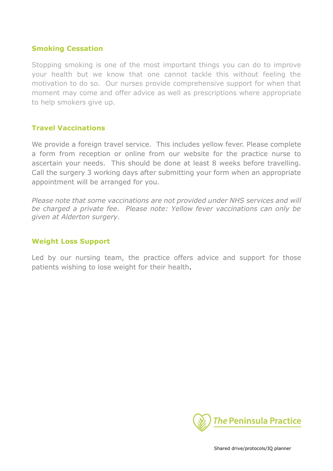### **Smoking Cessation**

Stopping smoking is one of the most important things you can do to improve your health but we know that one cannot tackle this without feeling the motivation to do so. Our nurses provide comprehensive support for when that moment may come and offer advice as well as prescriptions where appropriate to help smokers give up.

### **Travel Vaccinations**

We provide a foreign travel service. This includes yellow fever. Please complete a form from reception or online from our website for the practice nurse to ascertain your needs. This should be done at least 8 weeks before travelling. Call the surgery 3 working days after submitting your form when an appropriate appointment will be arranged for you.

*Please note that some vaccinations are not provided under NHS services and will be charged a private fee. Please note: Yellow fever vaccinations can only be given at Alderton surgery.*

### **Weight Loss Support**

Led by our nursing team, the practice offers advice and support for those patients wishing to lose weight for their health.

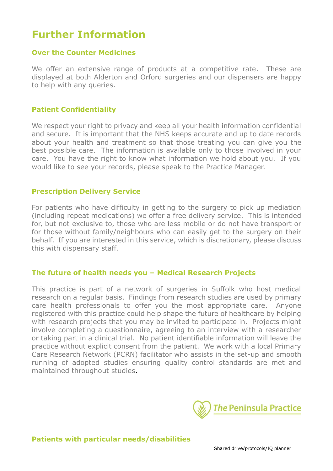# **Further Information**

### **Over the Counter Medicines**

We offer an extensive range of products at a competitive rate. These are displayed at both Alderton and Orford surgeries and our dispensers are happy to help with any queries.

### **Patient Confidentiality**

We respect your right to privacy and keep all your health information confidential and secure. It is important that the NHS keeps accurate and up to date records about your health and treatment so that those treating you can give you the best possible care. The information is available only to those involved in your care. You have the right to know what information we hold about you. If you would like to see your records, please speak to the Practice Manager.

### **Prescription Delivery Service**

For patients who have difficulty in getting to the surgery to pick up mediation (including repeat medications) we offer a free delivery service. This is intended for, but not exclusive to, those who are less mobile or do not have transport or for those without family/neighbours who can easily get to the surgery on their behalf. If you are interested in this service, which is discretionary, please discuss this with dispensary staff.

#### **The future of health needs you – Medical Research Projects**

This practice is part of a network of surgeries in Suffolk who host medical research on a regular basis. Findings from research studies are used by primary care health professionals to offer you the most appropriate care. Anyone registered with this practice could help shape the future of healthcare by helping with research projects that you may be invited to participate in. Projects might involve completing a questionnaire, agreeing to an interview with a researcher or taking part in a clinical trial. No patient identifiable information will leave the practice without explicit consent from the patient. We work with a local Primary Care Research Network (PCRN) facilitator who assists in the set-up and smooth running of adopted studies ensuring quality control standards are met and maintained throughout studies.

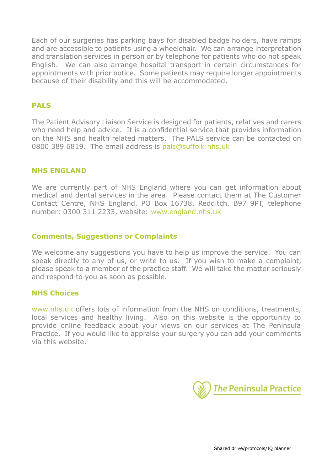Each of our surgeries has parking bays for disabled badge holders, have ramps and are accessible to patients using a wheelchair. We can arrange interpretation and translation services in person or by telephone for patients who do not speak English. We can also arrange hospital transport in certain circumstances for appointments with prior notice. Some patients may require longer appointments because of their disability and this will be accommodated.

### **PALS**

The Patient Advisory Liaison Service is designed for patients, relatives and carers who need help and advice. It is a confidential service that provides information on the NHS and health related matters. The PALS service can be contacted on 0800 389 6819. The email address is [pals@suffolk.nhs.uk](mailto:pals@suffolk.nhs.uk)

### **NHS ENGLAND**

We are currently part of NHS England where you can get information about medical and dental services in the area. Please contact them at The Customer Contact Centre, NHS England, PO Box 16738, Redditch. B97 9PT, telephone number: 0300 311 2233, website: [www.england.nhs.uk](http://www.england.nhs.uk/)

#### **Comments, Suggestions or Complaints**

We welcome any suggestions you have to help us improve the service. You can speak directly to any of us, or write to us. If you wish to make a complaint, please speak to a member of the practice staff. We will take the matter seriously and respond to you as soon as possible.

#### **NHS Choices**

[www.nhs.uk](http://www.nhs.uk/) offers lots of information from the NHS on conditions, treatments, local services and healthy living. Also on this website is the opportunity to provide online feedback about your views on our services at The Peninsula Practice. If you would like to appraise your surgery you can add your comments via this website.

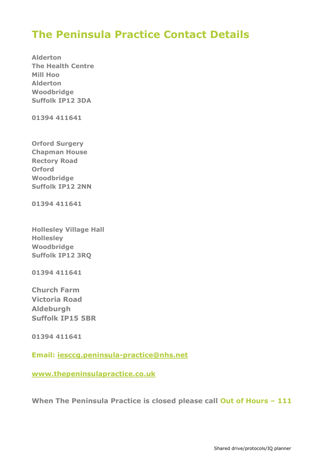# **The Peninsula Practice Contact Details**

**Alderton The Health Centre Mill Hoo Alderton Woodbridge Suffolk IP12 3DA**

**01394 411641**

**Orford Surgery Chapman House Rectory Road Orford Woodbridge Suffolk IP12 2NN**

**01394 411641**

**Hollesley Village Hall Hollesley Woodbridge Suffolk IP12 3RQ**

**01394 411641**

**Church Farm Victoria Road Aldeburgh Suffolk IP15 5BR**

**01394 411641**

**Email: [iesccg.peninsula-practice@nhs.net](mailto:iesccg.peninsula-practice@nhs.net)**

**[www.thepeninsulapractice.co.uk](http://www.thepeninsulapractice.co.uk/)**

**When The Peninsula Practice is closed please call Out of Hours – 111**